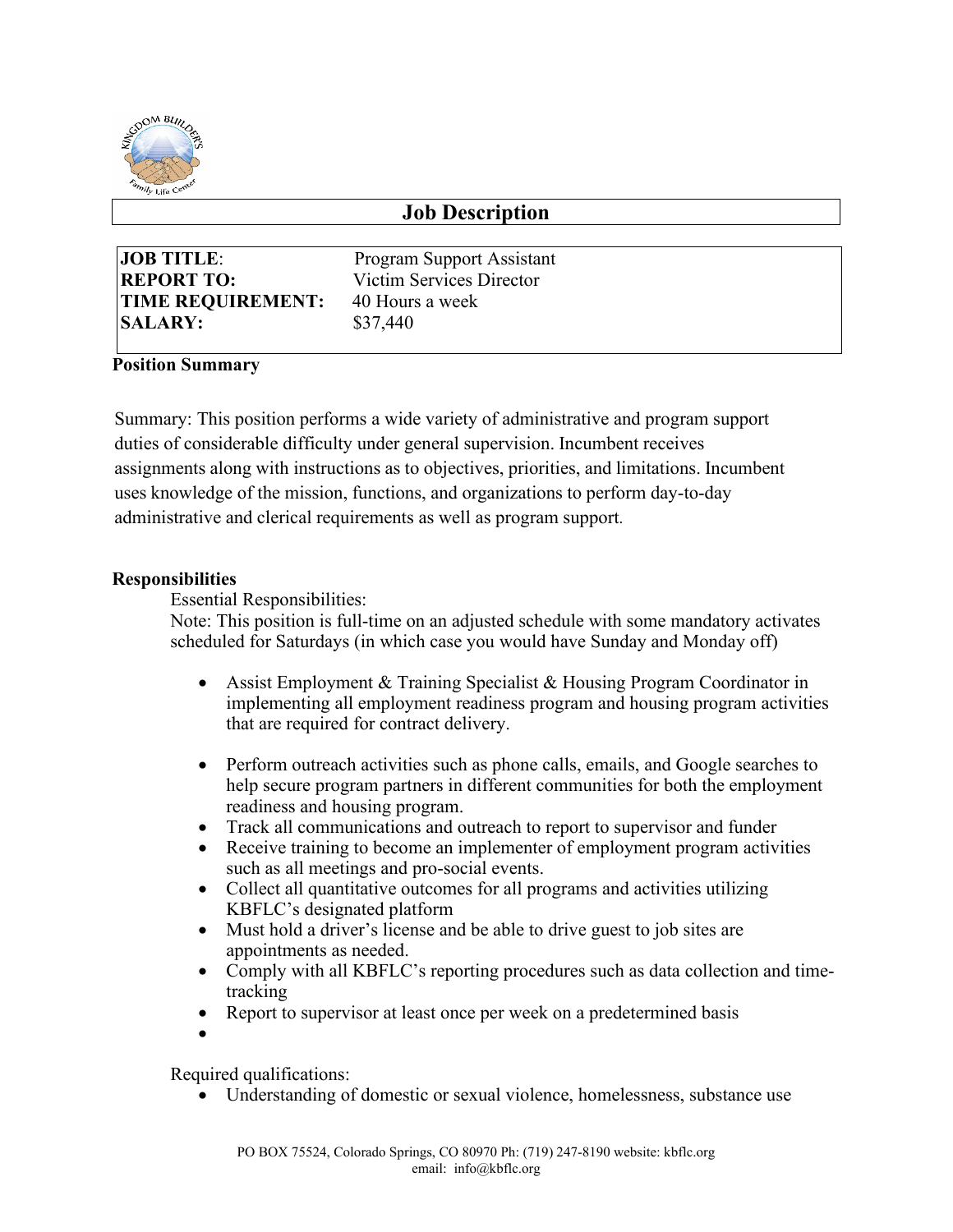

# **Job Description**

| <b>JOB TITLE:</b>        |
|--------------------------|
| <b>REPORT TO:</b>        |
| <b>TIME REQUIREMENT:</b> |
| <b>SALARY:</b>           |

**Program Support Assistant Victim Services Director 40 Hours a week SALARY:** \$37,440

## **Position Summary**

Summary: This position performs a wide variety of administrative and program support duties of considerable difficulty under general supervision. Incumbent receives assignments along with instructions as to objectives, priorities, and limitations. Incumbent uses knowledge of the mission, functions, and organizations to perform day-to-day administrative and clerical requirements as well as program support.

#### **Responsibilities**

Essential Responsibilities:

Note: This position is full-time on an adjusted schedule with some mandatory activates scheduled for Saturdays (in which case you would have Sunday and Monday off)

- Assist Employment & Training Specialist & Housing Program Coordinator in implementing all employment readiness program and housing program activities that are required for contract delivery.
- Perform outreach activities such as phone calls, emails, and Google searches to help secure program partners in different communities for both the employment readiness and housing program.
- Track all communications and outreach to report to supervisor and funder
- Receive training to become an implementer of employment program activities such as all meetings and pro-social events.
- Collect all quantitative outcomes for all programs and activities utilizing KBFLC's designated platform
- Must hold a driver's license and be able to drive guest to job sites are appointments as needed.
- Comply with all KBFLC's reporting procedures such as data collection and timetracking
- Report to supervisor at least once per week on a predetermined basis
- •

Required qualifications:

• Understanding of domestic or sexual violence, homelessness, substance use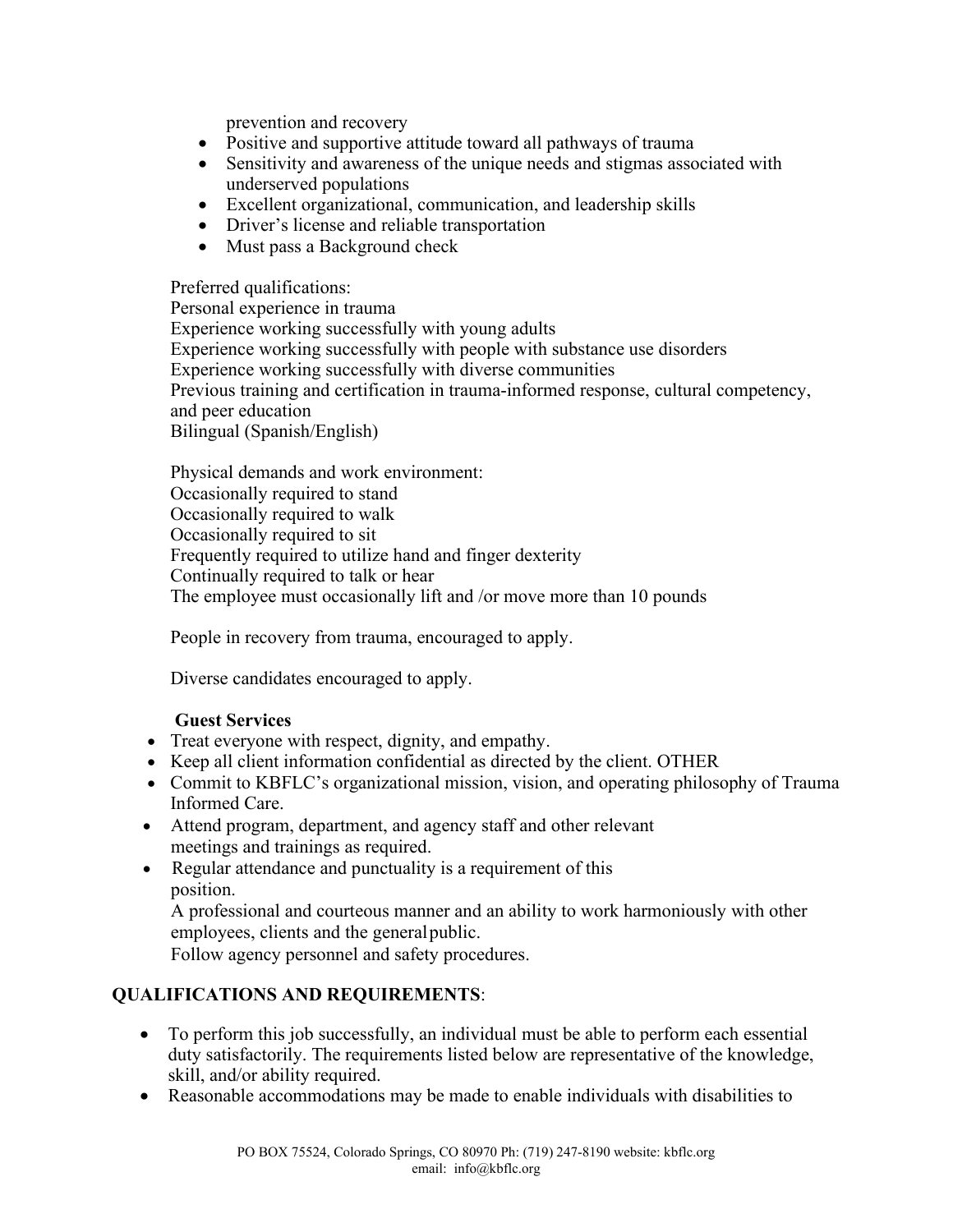prevention and recovery

- Positive and supportive attitude toward all pathways of trauma
- Sensitivity and awareness of the unique needs and stigmas associated with underserved populations
- Excellent organizational, communication, and leadership skills
- Driver's license and reliable transportation
- Must pass a Background check

Preferred qualifications:

Personal experience in trauma Experience working successfully with young adults Experience working successfully with people with substance use disorders Experience working successfully with diverse communities Previous training and certification in trauma-informed response, cultural competency, and peer education Bilingual (Spanish/English)

Physical demands and work environment: Occasionally required to stand Occasionally required to walk Occasionally required to sit Frequently required to utilize hand and finger dexterity Continually required to talk or hear The employee must occasionally lift and /or move more than 10 pounds

People in recovery from trauma, encouraged to apply.

Diverse candidates encouraged to apply.

#### **Guest Services**

- Treat everyone with respect, dignity, and empathy.
- Keep all client information confidential as directed by the client. OTHER
- Commit to KBFLC's organizational mission, vision, and operating philosophy of Trauma Informed Care.
- Attend program, department, and agency staff and other relevant meetings and trainings as required.
- Regular attendance and punctuality is a requirement of this position.

A professional and courteous manner and an ability to work harmoniously with other employees, clients and the generalpublic.

Follow agency personnel and safety procedures.

## **QUALIFICATIONS AND REQUIREMENTS**:

- To perform this job successfully, an individual must be able to perform each essential duty satisfactorily. The requirements listed below are representative of the knowledge, skill, and/or ability required.
- Reasonable accommodations may be made to enable individuals with disabilities to